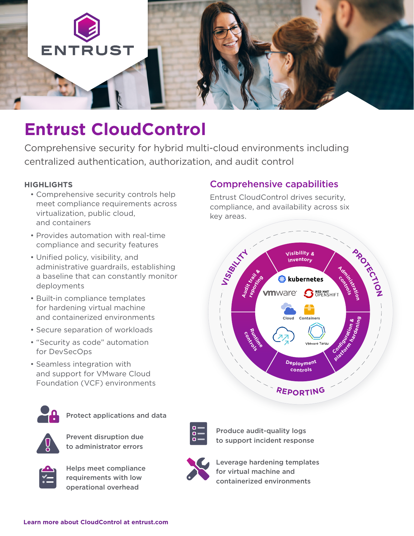

# **Entrust CloudControl**

Comprehensive security for hybrid multi-cloud environments including centralized authentication, authorization, and audit control

#### **HIGHLIGHTS**

- Comprehensive security controls help meet compliance requirements across virtualization, public cloud, and containers
- Provides automation with real-time compliance and security features
- Unified policy, visibility, and administrative guardrails, establishing a baseline that can constantly monitor deployments
- Built-in compliance templates for hardening virtual machine and containerized environments
- Secure separation of workloads
- "Security as code" automation for DevSecOps
- Seamless integration with and support for VMware Cloud Foundation (VCF) environments



Protect applications and data



Prevent disruption due to administrator errors



Helps meet compliance requirements with low operational overhead

# $\frac{1}{10}$

Produce audit-quality logs to support incident response



Leverage hardening templates for virtual machine and containerized environments

#### Comprehensive capabilities

Entrust CloudControl drives security, compliance, and availability across six key areas.

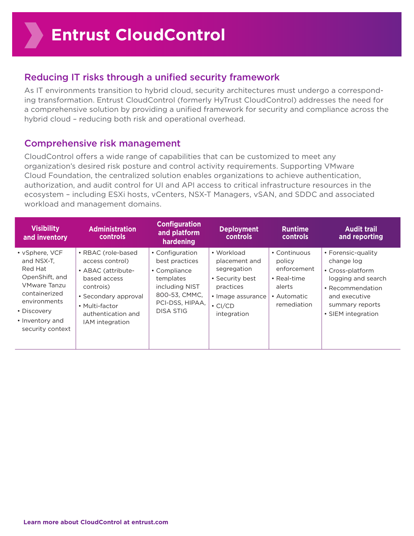### Reducing IT risks through a unified security framework

As IT environments transition to hybrid cloud, security architectures must undergo a corresponding transformation. Entrust CloudControl (formerly HyTrust CloudControl) addresses the need for a comprehensive solution by providing a unified framework for security and compliance across the hybrid cloud – reducing both risk and operational overhead.

#### Comprehensive risk management

CloudControl offers a wide range of capabilities that can be customized to meet any organization's desired risk posture and control activity requirements. Supporting VMware Cloud Foundation, the centralized solution enables organizations to achieve authentication, authorization, and audit control for UI and API access to critical infrastructure resources in the ecosystem – including ESXi hosts, vCenters, NSX-T Managers, vSAN, and SDDC and associated workload and management domains.

| <b>Visibility</b><br>and inventory                                                                                                                               | <b>Administration</b><br><b>controls</b>                                                                                                                                    | <b>Configuration</b><br>and platform<br>hardening                                                                                        | <b>Deployment</b><br>controls                                                                                                   | <b>Runtime</b><br>controls                                                                         | <b>Audit trail</b><br>and reporting                                                                                                                      |
|------------------------------------------------------------------------------------------------------------------------------------------------------------------|-----------------------------------------------------------------------------------------------------------------------------------------------------------------------------|------------------------------------------------------------------------------------------------------------------------------------------|---------------------------------------------------------------------------------------------------------------------------------|----------------------------------------------------------------------------------------------------|----------------------------------------------------------------------------------------------------------------------------------------------------------|
| • vSphere, VCF<br>and NSX-T.<br>Red Hat<br>OpenShift, and<br>VMware Tanzu<br>containerized<br>environments<br>• Discovery<br>• Inventory and<br>security context | • RBAC (role-based<br>access control)<br>• ABAC (attribute-<br>based access<br>controis)<br>• Secondary approval<br>• Multi-factor<br>authentication and<br>IAM integration | • Configuration<br>best practices<br>• Compliance<br>templates<br>including NIST<br>800-53, CMMC,<br>PCI-DSS, HIPAA,<br><b>DISA STIG</b> | • Workload<br>placement and<br>segregation<br>• Security best<br>practices<br>• Image assurance<br>$\cdot$ CI/CD<br>integration | • Continuous<br>policy<br>enforcement<br>$\cdot$ Real-time<br>alerts<br>• Automatic<br>remediation | • Forensic-quality<br>change log<br>• Cross-platform<br>logging and search<br>• Recommendation<br>and executive<br>summary reports<br>• SIEM integration |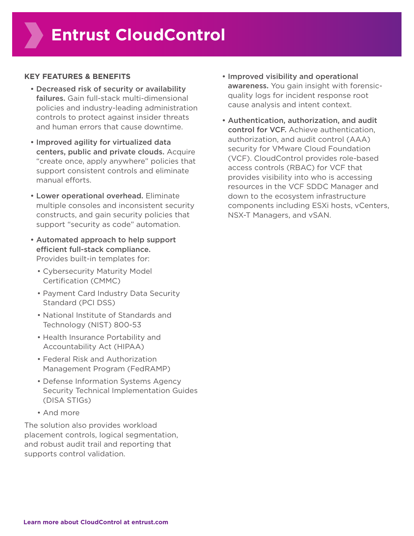#### **KEY FEATURES & BENEFITS**

- Decreased risk of security or availability failures. Gain full-stack multi-dimensional policies and industry-leading administration controls to protect against insider threats and human errors that cause downtime.
- Improved agility for virtualized data centers, public and private clouds. Acquire "create once, apply anywhere" policies that support consistent controls and eliminate manual efforts.
- Lower operational overhead. Eliminate multiple consoles and inconsistent security constructs, and gain security policies that support "security as code" automation.
- Automated approach to help support efficient full-stack compliance. Provides built-in templates for:
	- Cybersecurity Maturity Model Certification (CMMC)
	- Payment Card Industry Data Security Standard (PCI DSS)
	- National Institute of Standards and Technology (NIST) 800-53
	- Health Insurance Portability and Accountability Act (HIPAA)
	- Federal Risk and Authorization Management Program (FedRAMP)
	- Defense Information Systems Agency Security Technical Implementation Guides (DISA STIGs)
	- And more

The solution also provides workload placement controls, logical segmentation, and robust audit trail and reporting that supports control validation.

- Improved visibility and operational awareness. You gain insight with forensicquality logs for incident response root cause analysis and intent context.
- Authentication, authorization, and audit control for VCF. Achieve authentication, authorization, and audit control (AAA) security for VMware Cloud Foundation (VCF). CloudControl provides role-based access controls (RBAC) for VCF that provides visibility into who is accessing resources in the VCF SDDC Manager and down to the ecosystem infrastructure components including ESXi hosts, vCenters, NSX-T Managers, and vSAN.